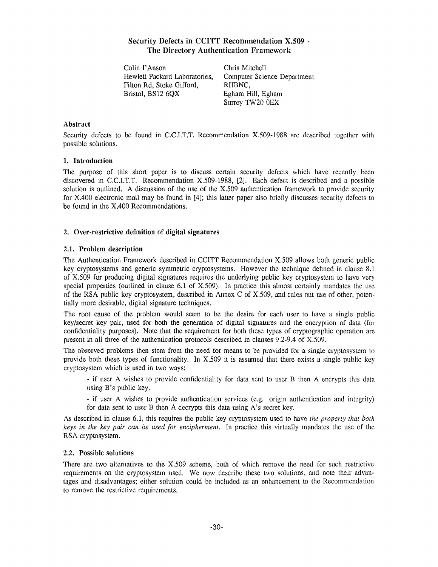# **Security Defects in CCITT Recommendation X .509 - The Directory Authentication Framewor k**

Colin I'Anson Chris Mitchell Filton Rd, Stoke Gifford, RHBNC, Bristol, BS12 6QX Egham Hill, Egham

Hewlett Packard Laboratories, Computer Science Department Surrey TW20 OEX

## **Abstract**

Security defects to be found in C.C.I.T.T. Recommendation X.509-1988 are described together with possible solutions.

### **1. Introductio n**

The purpose of this short paper is to discuss certain security defects which have recently been discovered in C.C.I.T.T. Recommendation X.509-1988, [2]. Each defect is described and a possible solution is outlined. A discussion of the use of the  $X,509$  authentication framework to provide security for X.400 electronic mail may be found in [4]; this latter paper also briefly discusses security defects to be found in the X.400 Recommendations.

# **2. Over-restrictive definition of digital signatures**

# **2.1 . Problem description**

The Authentication Framework described in CCITT Recommendation X.509 allows both generic public key cryptosystems and generic symmetric cryptosystems. However the technique defined in clause 8.1 of X.509 for producing digital signatures requires the underlying public key cryptosystem to have very special properties (outlined in clause  $6.1$  of  $X.509$ ). In practice this almost certainly mandates the use of the RSA public key cryptosystem, described in Annex C of X .509, and rules out use of other, potentially more desirable, digital signature techniques.

The root cause of the problem would seem to be the desire for each user to have a single public key/secret key pair, used for both the generation of digital signatures and the encryption of data (for confidentiality purposes). Note that the requirement for both these types of cryptographic operation are present in all three of the authentication protocols described in clauses 9.2-9.4 of X.509.

The observed problems then stem from the need for means to be provided for a single cryptosystem to provide both these types of functionality. In  $X.509$  it is assumed that there exists a single public key cryptosystem which is used in two ways:

- if user A wishes to provide confidentiality for data sent to user B then A encrypts this data using  $B$ 's public key.

- if user A wishes to provide authentication services (e.g. origin authentication and integrity) for data sent to user B then A decrypts this data using A's secret key .

As described in clause 6 .1, this requires the public key cryptosystem used to have *the property that both keys in the key pair can be used for encipherment*. In practice this virtually mandates the use of the RSA cryptosystem.

### 2.2. Possible solutions

There are two alternatives to the X.509 scheme, both of which remove the need for such restrictive requirements on the cryptosystem used. We now describe these two solutions, and note their advantages and disadvantages; either solution could be included as an enhancement to the Recommendation to remove the restrictive requirements.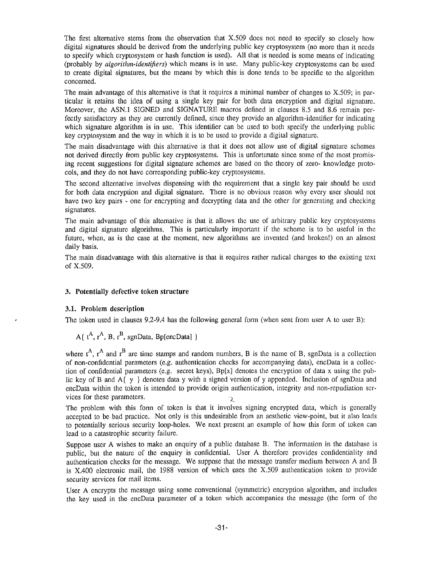The first alternative stems from the observation that  $X.509$  does not need to specify so closely how digital signatures should be derived from the underlying public key cryptosystem (no more than it needs to specify which cryptosystem or hash function is used). All that is needed is some means of indicating (probably by *algorithm-identifiers)* which means is in use . Many public-key cryptosystems can be used to create digital signatures, but the means by which this is done tends to be specific to the algorithm concerned.

The main advantage of this alternative is that it requires a minimal number of changes to X.509; in particular it retains the idea of using a single key pair for both data encryption and digital signature . Moreover, the ASN.1 SIGNED and SIGNATURE macros defined in clauses 8.5 and 8.6 remain perfectly satisfactory as they are currently defined, since they provide an algorithm-identifier for indicating which signature algorithm is in use. This identifier can be used to both specify the underlying public key cryptosystem and the way in which it is to be used to provide a digital signature .

The main disadvantage with this alternative is that it does not allow use of digital signature schemes not derived directly from public key cryptosystems. This is unfortunate since some of the most promising recent suggestions for digital signature schemes are based on the theory of zero- knowledge protocols, and they do not have corresponding public-key cryptosystems .

The second alternative involves dispensing with the requirement that a single key pair should be used for both data encryption and digital signature. There is no obvious reason why every user should not have two key pairs - one for encrypting and decrypting data and the other for generating and checking signatures.

The main advantage of this alternative is that it allows the use of arbitrary public key cryptosystems and digital signature algorithms. This is particularly important if the scheme is to be useful in the future, when, as is the case at the moment, new algorithms are invented (and broken!) on an almost daily basis.

The main disadvantage with this alternative is that it requires rather radical changes to the existing text of X.509.

## **3 . Potentially defective token structure**

### **3 .1. Problem description**

The token used in clauses  $9.2$ -9.4 has the following general form (when sent from user A to user B):

A( $t^A$ ,  $r^A$ , B,  $r^B$ , sgnData, Bp[encData] }

where  $t^A$ ,  $r^A$  and  $r^B$  are time stamps and random numbers, B is the name of B, sgnData is a collection of non-confidential parameters (e .g. authentication checks for accompanying data), encData is a collection of confidential parameters (e.g. secret keys),  $Bp[x]$  denotes the encryption of data x using the public key of B and A $\{y\}$  denotes data y with a signed version of y appended. Inclusion of sgnData and encData within the token is intended to provide origin authentication, integrity and non-repudiation services for these parameters.  $\sim$ 

The problem with this form of token is that it involves signing encrypted data, which is generally accepted to be bad practice . Not only is this undesirable from an aesthetic view-point, but it also leads to potentially serious security loop-holes. We next present an example of how this form of token can lead to a catastrophic security failure.

Suppose user A wishes to make an enquiry of a public database B. The information in the database is public, but the nature of the enquiry is confidential. User A therefore provides confidentiality and authentication checks for the message . We suppose that the message transfer medium between A and B is X.400 electronic mail, the <sup>1988</sup> version of which uses the X.509 authentication token to provide security services for mail items.

User A encrypts the message using some conventional (symmetric) encryption algorithm, and includes the key used in the encData parameter of a token which accompanies the message (the form of the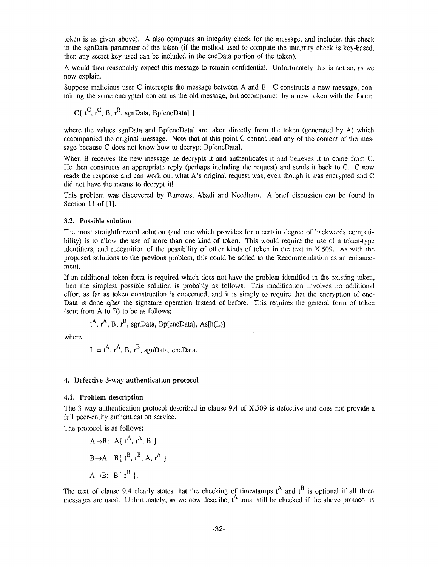token is as given above). A also computes an integrity check for the message, and includes this check in the sgnData parameter of the token (if the method used to compute the integrity check is key-based, then any secret key used can be included in the encData portion of the token).

A would then reasonably expect this message to remain confidential. Unfortunately this is not so, as we now explain.

Suppose malicious user C intercepts the message between A and B. C constructs a new message, containing the same encrypted content as the old message, but accompanied by a new token with the form :

C $\{ t^C, t^C, B, t^B,$  sgnData, Bp[encData]  $\}$ 

where the values sgnData and Bp[encData] are taken directly from the token (generated by A) which accompanied the original message. Note that at this point C cannot read any of the content of the message because C does not know how to decrypt Bp[encData].

When B receives the new message he decrypts it and authenticates it and believes it to come from C. He then constructs an appropriate reply (perhaps including the request) and sends it back to C. C now reads the response and can work out what A's original request was, even though it was encrypted and C did not have the means to decrypt it!

This problem was discovered by Burrows, Abadi and Needham. A brief discussion can be found in Section 11 of [1].

### **3 .2. Possible solution**

The most straightforward solution (and one which provides for a certain degree of backwards compatibility) is to allow the use of more than one kind of token. This would require the use of a token-type identifiers, and recognition of the possibility of other kinds of token in the text in X .509 . As with the proposed solutions to the previous problem, this could be added to the Recommendation as an enhancement.

If an additional token form is required which does not have the problem identified in the existing token , then the simplest possible solution is probably as follows. This modification involves no additiona l effort as far as token construction is concerned, and it is simply to require that the encryption of enc-Data is done *after* the signature operation instead of before. This requires the general form of token (sent from A to B) to be as follows :

$$
t^A
$$
,  $r^A$ , B,  $r^B$ , sgnData, BplencData], As[h(L)]

where

$$
L = t^{A}
$$
,  $r^{A}$ , B,  $r^{B}$ , sgnData, encData.

### 4. Defective 3-way authentication protocol

### 4.1. Problem description

**Service** 

The 3-way authentication protocol described in clause 9 .4 of X.509 is defective and does not provide a full peer-entity authentication service.

The protocol is as follows:

A
$$
\rightarrow
$$
B: A{  $t^A$ ,  $r^A$ , B }  
B $\rightarrow$ A: B{  $t^B$ ,  $r^B$ , A,  $r^A$  }  
A $\rightarrow$ B: B{  $r^B$  }.

The text of clause 9.4 clearly states that the checking of timestamps  $t^A$  and  $t^B$  is optional if all three messages are used. Unfortunately, as we now describe,  $t^A$  must still be checked if the above protocol is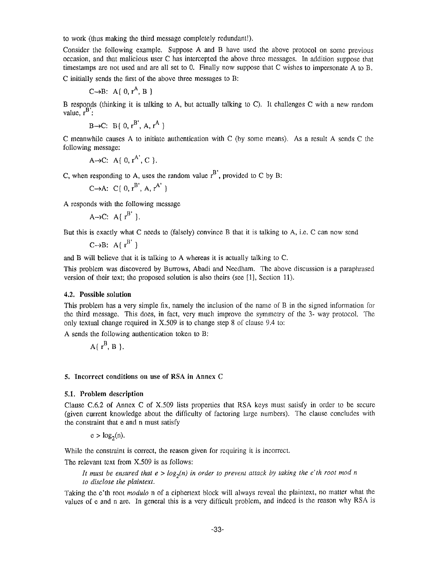to work (thus making the third message completely redundant!) .

Consider the following example. Suppose A and B have used the above protocol on some previous occasion, and that malicious user C has intercepted the above three messages. In addition suppose tha <sup>t</sup> timestamps are not used and are all set to 0. Finally now suppose that C wishes to impersonate A to B. C initially sends the first of the above three messages to B:

$$
C \rightarrow B: A \{ 0, r^A, B \}
$$

B responds (thinking it is talking to A, but actually talking to C). It challenges C with a new random value,  $r^B$ :

 $B \rightarrow C: B \{ 0, r^{B'}, A, r^{A} \}$ 

C meanwhile causes A to initiate authentication with C (by some means). As a result A sends C the following message:

A
$$
\rightarrow
$$
C: A{ 0, r<sup>A</sup>, C }.

C, when responding to A, uses the random value  $r^B$ , provided to C by B:

$$
C \rightarrow A: C[0, r^B', A, r^{A'}]
$$

A responds with the following message

$$
A \rightarrow C: A [r^{B'}].
$$

But this is exactly what C needs to (falsely) convince B that it is talking to A, i.e. C can now send

 $C\rightarrow B$ : A{ $r^{B'}$ }

and B will believe that it is talking to A whereas it is actually talking to C.

This problem was discovered by Burrows, Abadi and Needham. The above discussion is a paraphrased version of their text; the proposed solution is also theirs (see [1], Section 11).

#### 4.2. **Possible solutio n**

This problem has a very simple fix, namely the inclusion of the name of B in the signed information for the third message. This does, in fact, very much improve the symmetry of the 3- way protocol . The only textual change required in  $X.509$  is to change step 8 of clause 9.4 to:

A sends the following authentication token to B:

$$
A\{\ r^B, B\ \}.
$$

#### **5 . Incorrect conditions on use of RSA in Annex C**

#### **5 .1 . Problem description**

Clause C.6.2 of Annex C of  $X,509$  lists properties that RSA keys must satisfy in order to be secure (given current knowledge about the difficulty of factoring large numbers). The clause concludes with the constraint that e and n must satisfy

 $e > log<sub>2</sub>(n)$ .

While the constraint is correct, the reason given for requiring it is incorrect.

The relevant text from X.509 is as follows:

*It must be ensured that*  $e > log_2(n)$  *in order to prevent attack by taking the e'th root mod n to disclose the plaintext .*

Taking the e'th root *modulo* n of a ciphertext block will always reveal the plaintext, no matter what the values of e and n are. In general this is a very difficult problem, and indeed is the reason why RSA is